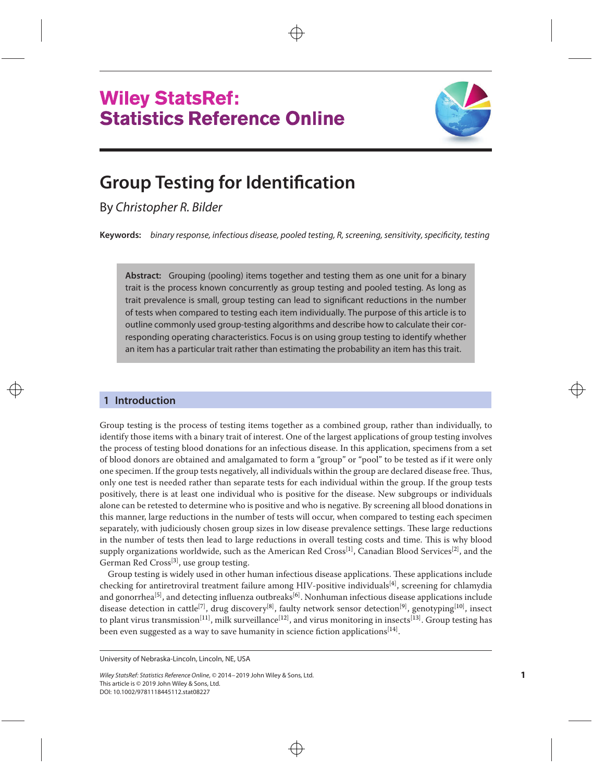



# **Group Testing for Identification**

By Christopher R. Bilder

**Keywords:** binary response, infectious disease, pooled testing, R, screening, sensitivity, specificity, testing

**Abstract:** Grouping (pooling) items together and testing them as one unit for a binary trait is the process known concurrently as group testing and pooled testing. As long as trait prevalence is small, group testing can lead to significant reductions in the number of tests when compared to testing each item individually. The purpose of this article is to outline commonly used group-testing algorithms and describe how to calculate their corresponding operating characteristics. Focus is on using group testing to identify whether an item has a particular trait rather than estimating the probability an item has this trait.

# **1 Introduction**

Group testing is the process of testing items together as a combined group, rather than individually, to identify those items with a binary trait of interest. One of the largest applications of group testing involves the process of testing blood donations for an infectious disease. In this application, specimens from a set of blood donors are obtained and amalgamated to form a "group" or "pool" to be tested as if it were only one specimen. If the group tests negatively, all individuals within the group are declared disease free. Thus, only one test is needed rather than separate tests for each individual within the group. If the group tests positively, there is at least one individual who is positive for the disease. New subgroups or individuals alone can be retested to determine who is positive and who is negative. By screening all blood donations in this manner, large reductions in the number of tests will occur, when compared to testing each specimen separately, with judiciously chosen group sizes in low disease prevalence settings. These large reductions in the number of tests then lead to large reductions in overall testing costs and time. This is why blood supply organizations worldwide, such as the American Red Cross<sup>[\[1\]](#page-9-0)</sup>, Canadian Blood Services<sup>[\[2\]](#page-9-0)</sup>, and the German Red Cross<sup>[\[3\]](#page-9-0)</sup>, use group testing.

Group testing is widely used in other human infectious disease applications. These applications include checking for antiretroviral treatment failure among HIV-positive individuals<sup>[\[4\]](#page-9-0)</sup>, screening for chlamydia and gonorrhea<sup>[\[5\]](#page-9-0)</sup>, and detecting influenza outbreaks<sup>[\[6\]](#page-9-0)</sup>. Nonhuman infectious disease applications include disease detection in cattle<sup>[\[7\]](#page-9-0)</sup>, drug discovery<sup>[\[8\]](#page-9-0)</sup>, faulty network sensor detection<sup>[\[9\]](#page-9-0)</sup>, genotyping<sup>[\[10\]](#page-9-0)</sup>, insect to plant virus transmission<sup>[\[11\]](#page-9-0)</sup>, milk surveillance<sup>[\[12\]](#page-9-0)</sup>, and virus monitoring in insects<sup>[\[13\]](#page-9-0)</sup>. Group testing has been even suggested as a way to save humanity in science fiction applications $^{\rm [14]}$  $^{\rm [14]}$  $^{\rm [14]}$ .

University of Nebraska-Lincoln, Lincoln, NE, USA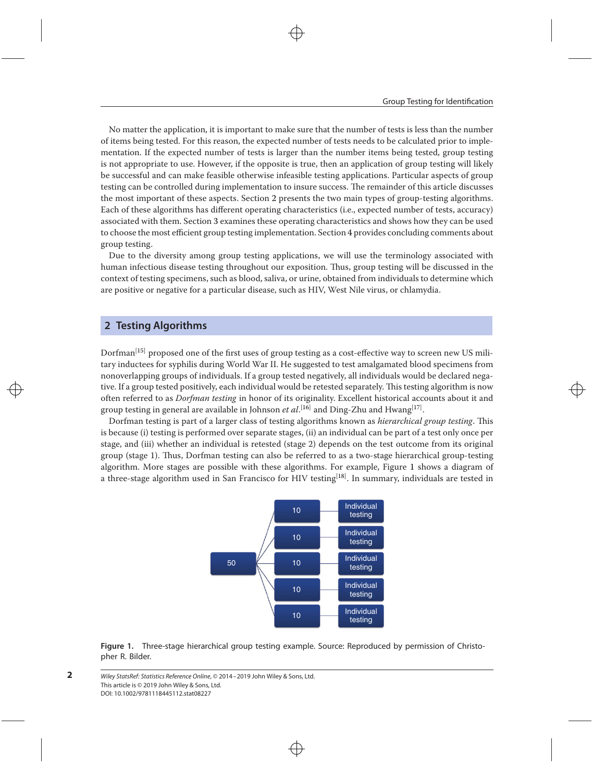No matter the application, it is important to make sure that the number of tests is less than the number of items being tested. For this reason, the expected number of tests needs to be calculated prior to implementation. If the expected number of tests is larger than the number items being tested, group testing is not appropriate to use. However, if the opposite is true, then an application of group testing will likely be successful and can make feasible otherwise infeasible testing applications. Particular aspects of group testing can be controlled during implementation to insure success. The remainder of this article discusses the most important of these aspects. Section [2](#page-1-0) presents the two main types of group-testing algorithms. Each of these algorithms has different operating characteristics (i.e., expected number of tests, accuracy) associated with them. Section [3](#page-3-0) examines these operating characteristics and shows how they can be used to choose the most efficient group testing implementation. Section [4](#page-8-0) provides concluding comments about group testing.

Due to the diversity among group testing applications, we will use the terminology associated with human infectious disease testing throughout our exposition. Thus, group testing will be discussed in the context of testing specimens, such as blood, saliva, or urine, obtained from individuals to determine which are positive or negative for a particular disease, such as HIV, West Nile virus, or chlamydia.

# <span id="page-1-0"></span>**2 Testing Algorithms**

Dorfman<sup>[\[15\]](#page-9-0)</sup> proposed one of the first uses of group testing as a cost-effective way to screen new US military inductees for syphilis during World War II. He suggested to test amalgamated blood specimens from nonoverlapping groups of individuals. If a group tested negatively, all individuals would be declared negative. If a group tested positively, each individual would be retested separately. This testing algorithm is now often referred to as *Dorfman testing* in honor of its originality. Excellent historical accounts about it and group testing in general are available in Johnson *et al*.<sup>[\[16\]](#page-9-0)</sup> and Ding-Zhu and Hwang<sup>[\[17\]](#page-9-0)</sup>.

<span id="page-1-1"></span>Dorfman testing is part of a larger class of testing algorithms known as *hierarchical group testing*. This is because (i) testing is performed over separate stages, (ii) an individual can be part of a test only once per stage, and (iii) whether an individual is retested (stage 2) depends on the test outcome from its original group (stage 1). Thus, Dorfman testing can also be referred to as a two-stage hierarchical group-testing algorithm. More stages are possible with these algorithms. For example, Figure [1](#page-1-1) shows a diagram of a three-stage algorithm used in San Francisco for HIV testing<sup>[\[18\]](#page-9-0)</sup>. In summary, individuals are tested in



**Figure 1.** Three-stage hierarchical group testing example. Source: Reproduced by permission of Christopher R. Bilder.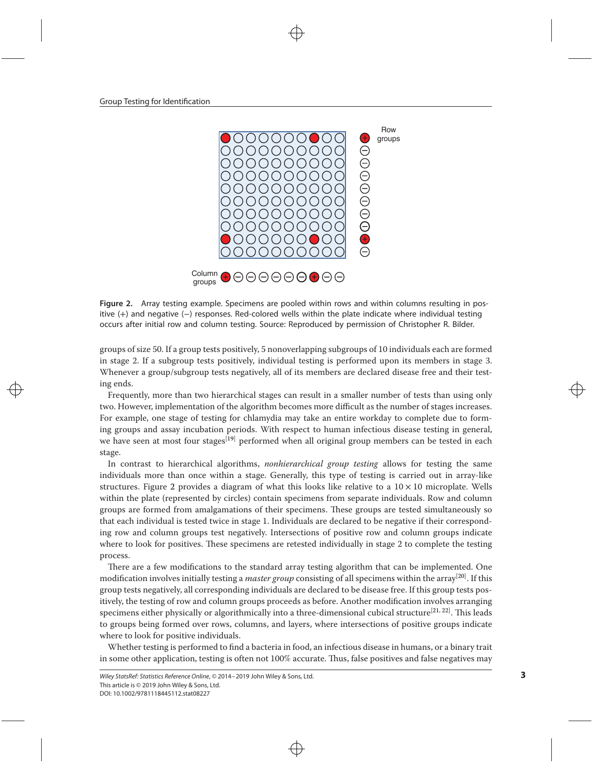<span id="page-2-0"></span>Group Testing for Identification



**Figure 2.** Array testing example. Specimens are pooled within rows and within columns resulting in positive (+) and negative (−) responses. Red-colored wells within the plate indicate where individual testing occurs after initial row and column testing. Source: Reproduced by permission of Christopher R. Bilder.

groups of size 50. If a group tests positively, 5 nonoverlapping subgroups of 10 individuals each are formed in stage 2. If a subgroup tests positively, individual testing is performed upon its members in stage 3. Whenever a group/subgroup tests negatively, all of its members are declared disease free and their testing ends.

Frequently, more than two hierarchical stages can result in a smaller number of tests than using only two. However, implementation of the algorithm becomes more difficult as the number of stages increases. For example, one stage of testing for chlamydia may take an entire workday to complete due to forming groups and assay incubation periods. With respect to human infectious disease testing in general, we have seen at most four stages<sup>[\[19\]](#page-9-0)</sup> performed when all original group members can be tested in each stage.

In contrast to hierarchical algorithms, *nonhierarchical group testing* allows for testing the same individuals more than once within a stage. Generally, this type of testing is carried out in array-like structures. Figure [2](#page-2-0) provides a diagram of what this looks like relative to a  $10 \times 10$  microplate. Wells within the plate (represented by circles) contain specimens from separate individuals. Row and column groups are formed from amalgamations of their specimens. These groups are tested simultaneously so that each individual is tested twice in stage 1. Individuals are declared to be negative if their corresponding row and column groups test negatively. Intersections of positive row and column groups indicate where to look for positives. These specimens are retested individually in stage 2 to complete the testing process.

There are a few modifications to the standard array testing algorithm that can be implemented. One modification involves initially testing a *master group* consisting of all specimens within the array[\[20\]](#page-9-0) . If this group tests negatively, all corresponding individuals are declared to be disease free. If this group tests positively, the testing of row and column groups proceeds as before. Another modification involves arranging specimens either physically or algorithmically into a three-dimensional cubical structure<sup>[\[21,](#page-9-0) [22\]](#page-9-0)</sup>. This leads to groups being formed over rows, columns, and layers, where intersections of positive groups indicate where to look for positive individuals.

Whether testing is performed to find a bacteria in food, an infectious disease in humans, or a binary trait in some other application, testing is often not 100% accurate. Thus, false positives and false negatives may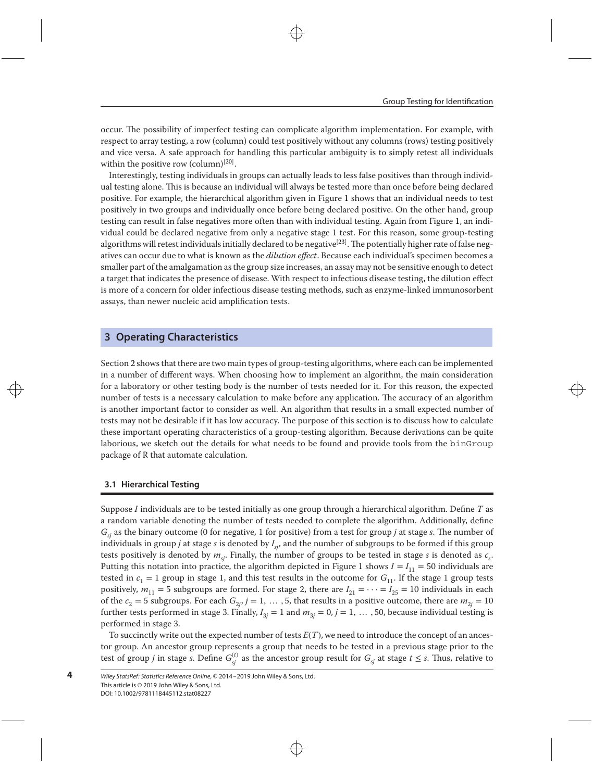occur. The possibility of imperfect testing can complicate algorithm implementation. For example, with respect to array testing, a row (column) could test positively without any columns (rows) testing positively and vice versa. A safe approach for handling this particular ambiguity is to simply retest all individuals within the positive row (column)<sup>[\[20\]](#page-9-0)</sup>.

Interestingly, testing individuals in groups can actually leads to less false positives than through individual testing alone. This is because an individual will always be tested more than once before being declared positive. For example, the hierarchical algorithm given in Figure [1](#page-1-1) shows that an individual needs to test positively in two groups and individually once before being declared positive. On the other hand, group testing can result in false negatives more often than with individual testing. Again from Figure [1,](#page-1-1) an individual could be declared negative from only a negative stage 1 test. For this reason, some group-testing algorithms will retest individuals initially declared to be negative<sup>[\[23\]](#page-9-0)</sup>. The potentially higher rate of false negatives can occur due to what is known as the *dilution effect*. Because each individual's specimen becomes a smaller part of the amalgamation as the group size increases, an assay may not be sensitive enough to detect a target that indicates the presence of disease. With respect to infectious disease testing, the dilution effect is more of a concern for older infectious disease testing methods, such as enzyme-linked immunosorbent assays, than newer nucleic acid amplification tests.

## <span id="page-3-0"></span>**3 Operating Characteristics**

Section [2](#page-1-0) shows that there are two main types of group-testing algorithms, where each can be implemented in a number of different ways. When choosing how to implement an algorithm, the main consideration for a laboratory or other testing body is the number of tests needed for it. For this reason, the expected number of tests is a necessary calculation to make before any application. The accuracy of an algorithm is another important factor to consider as well. An algorithm that results in a small expected number of tests may not be desirable if it has low accuracy. The purpose of this section is to discuss how to calculate these important operating characteristics of a group-testing algorithm. Because derivations can be quite laborious, we sketch out the details for what needs to be found and provide tools from the binGroup package of R that automate calculation.

#### **3.1 Hierarchical Testing**

**4**

Suppose *I* individuals are to be tested initially as one group through a hierarchical algorithm. Define *T* as a random variable denoting the number of tests needed to complete the algorithm. Additionally, define *Gsj* as the binary outcome (0 for negative, 1 for positive) from a test for group *j* at stage *s*. The number of individuals in group *j* at stage *s* is denoted by *Isj*, and the number of subgroups to be formed if this group tests positively is denoted by  $m_{si}$ . Finally, the number of groups to be tested in stage *s* is denoted as  $c_{si}$ . Putting this notation into practice, the algorithm depicted in Figure [1](#page-1-1) shows  $I = I_{11} = 50$  individuals are tested in  $c_1 = 1$  group in stage 1, and this test results in the outcome for  $G_{11}$ . If the stage 1 group tests positively,  $m_{11} = 5$  subgroups are formed. For stage 2, there are  $I_{21} = \cdots = I_{25} = 10$  individuals in each of the  $c_2 = 5$  subgroups. For each  $G_{2j}$ ,  $j = 1, \ldots, 5$ , that results in a positive outcome, there are  $m_{2j} = 10$ further tests performed in stage 3. Finally,  $I_{3j} = 1$  and  $m_{3j} = 0$ ,  $j = 1, \ldots, 50$ , because individual testing is performed in stage 3.

To succinctly write out the expected number of tests *E*(*T*), we need to introduce the concept of an ancestor group. An ancestor group represents a group that needs to be tested in a previous stage prior to the test of group *j* in stage *s*. Define  $G^{(t)}_{sj}$  as the ancestor group result for  $G_{sj}$  at stage  $t \leq s$ . Thus, relative to

Wiley StatsRef: Statistics Reference Online, © 2014–2019 John Wiley & Sons, Ltd. This article is © 2019 John Wiley & Sons, Ltd. DOI: 10.1002/9781118445112.stat08227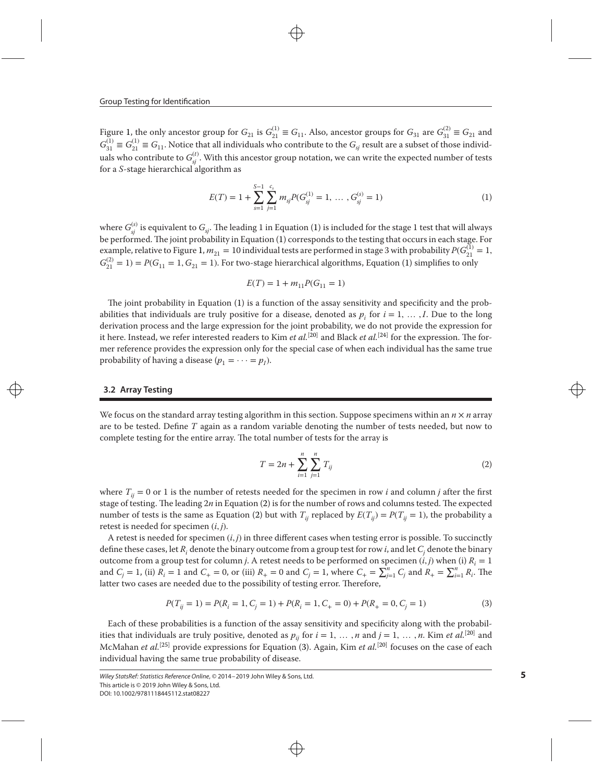Figure [1,](#page-1-1) the only ancestor group for  $G_{21}$  is  $G_{21}^{(1)} \equiv G_{11}$ . Also, ancestor groups for  $G_{31}$  are  $G_{31}^{(2)} \equiv G_{21}$  and  $G_{31}^{(1)} \equiv G_{21}^{(1)} \equiv G_{11}$ . Notice that all individuals who contribute to the  $G_{sj}$  result are a subset of those individuals who contribute to  $G_{sj}^{(t)}$ . With this ancestor group notation, we can write the expected number of tests for a *S*-stage hierarchical algorithm as

<span id="page-4-0"></span>
$$
E(T) = 1 + \sum_{s=1}^{S-1} \sum_{j=1}^{c_s} m_{sj} P(G_{sj}^{(1)} = 1, ..., G_{sj}^{(s)} = 1)
$$
 (1)

where  $G_{\!}^{(s)}$  is equivalent to  $G_{\!sj}.$  The leading 1 in Equation [\(1\)](#page-4-0) is included for the stage 1 test that will always be performed.The joint probability in Equation [\(1\)](#page-4-0) corresponds to the testing that occurs in each stage. For example, relative to Figure [1,](#page-1-1)  $m_{21} = 10$  individual tests are performed in stage 3 with probability  $P(G_{21}^{(1)} = 1,$  $G_{21}^{(2)} = 1$ ) = *P*( $G_{11} = 1$ ,  $G_{21} = 1$ ). For two-stage hierarchical algorithms, Equation [\(1\)](#page-4-0) simplifies to only

$$
E(T) = 1 + m_{11} P(G_{11} = 1)
$$

The joint probability in Equation [\(1\)](#page-4-0) is a function of the assay sensitivity and specificity and the probabilities that individuals are truly positive for a disease, denoted as  $p_i$  for  $i = 1, \ldots, I$ . Due to the long derivation process and the large expression for the joint probability, we do not provide the expression for it here. Instead, we refer interested readers to Kim *et al.*[\[20\]](#page-9-0) and Black *et al.*[\[24\]](#page-9-0) for the expression. The former reference provides the expression only for the special case of when each individual has the same true probability of having a disease  $(p_1 = \cdots = p_I)$ .

#### **3.2 Array Testing**

We focus on the standard array testing algorithm in this section. Suppose specimens within an  $n \times n$  array are to be tested. Define *T* again as a random variable denoting the number of tests needed, but now to complete testing for the entire array. The total number of tests for the array is

<span id="page-4-1"></span>
$$
T = 2n + \sum_{i=1}^{n} \sum_{j=1}^{n} T_{ij}
$$
 (2)

where  $T_{ij} = 0$  or 1 is the number of retests needed for the specimen in row *i* and column *j* after the first stage of testing. The leading 2*n* in Equation [\(2\)](#page-4-1) is for the number of rows and columns tested. The expected number of tests is the same as Equation [\(2\)](#page-4-1) but with  $T_{ij}$  replaced by  $E(T_{ij}) = P(T_{ij} = 1)$ , the probability a retest is needed for specimen (*i, j*).

A retest is needed for specimen (*i, j*) in three different cases when testing error is possible. To succinctly define these cases, let *Ri* denote the binary outcome from a group test for row *i*, and let *Cj* denote the binary outcome from a group test for column *j*. A retest needs to be performed on specimen  $(i, j)$  when (i)  $R<sub>i</sub> = 1$ and  $C_j = 1$ , (ii)  $R_i = 1$  and  $C_+ = 0$ , or (iii)  $R_+ = 0$  and  $C_j = 1$ , where  $C_+ = \sum_{j=1}^n C_j$  and  $R_+ = \sum_{i=1}^n R_i$ . The latter two cases are needed due to the possibility of testing error. Therefore,

<span id="page-4-2"></span>
$$
P(T_{ij} = 1) = P(R_i = 1, C_j = 1) + P(R_i = 1, C_+ = 0) + P(R_+ = 0, C_j = 1)
$$
\n(3)

Each of these probabilities is a function of the assay sensitivity and specificity along with the probabilities that individuals are truly positive, denoted as  $p_{ii}$  for  $i = 1, \ldots, n$  and  $j = 1, \ldots, n$ . Kim *et al.*<sup>[\[20\]](#page-9-0)</sup> and McMahan *et al.*<sup>[\[25\]](#page-9-0)</sup> provide expressions for Equation [\(3\)](#page-4-2). Again, Kim *et al.*<sup>[\[20\]](#page-9-0)</sup> focuses on the case of each individual having the same true probability of disease.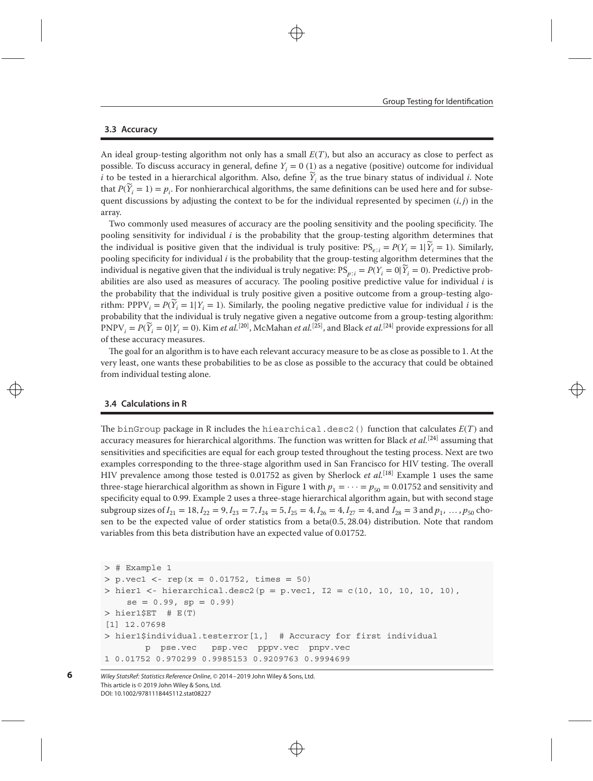#### **3.3 Accuracy**

An ideal group-testing algorithm not only has a small *E*(*T*), but also an accuracy as close to perfect as possible. To discuss accuracy in general, define *Yi* = 0 (1) as a negative (positive) outcome for individual *i* to be tested in a hierarchical algorithm. Also, define  $\tilde{Y}_i$  as the true binary status of individual *i*. Note that  $P(\widetilde{Y}_i = 1) = p_i$ . For nonhierarchical algorithms, the same definitions can be used here and for subsequent discussions by adjusting the context to be for the individual represented by specimen  $(i, j)$  in the array.

Two commonly used measures of accuracy are the pooling sensitivity and the pooling specificity. The pooling sensitivity for individual *i* is the probability that the group-testing algorithm determines that the individual is positive given that the individual is truly positive:  $PS_{e,i} = P(Y_i = 1|\widetilde{Y}_i = 1)$ . Similarly, pooling specificity for individual *i* is the probability that the group-testing algorithm determines that the individual is negative given that the individual is truly negative:  $PS_{n:i} = P(Y_i = 0 | \widetilde{Y}_i = 0)$ . Predictive probabilities are also used as measures of accuracy. The pooling positive predictive value for individual *i* is the probability that the individual is truly positive given a positive outcome from a group-testing algorithm: PPPV<sub>*i*</sub> =  $P(\widetilde{Y}_i = 1 | Y_i = 1)$ . Similarly, the pooling negative predictive value for individual *i* is the probability that the individual is truly negative given a negative outcome from a group-testing algorithm:  $PNPV_i = P(\widetilde{Y}_i = 0 | Y_i = 0)$ . Kim *et al.*<sup>[\[20\]](#page-9-0)</sup>, McMahan *et al.*<sup>[\[25\]](#page-9-0)</sup>, and Black *et al.*<sup>[\[24\]](#page-9-0)</sup> provide expressions for all of these accuracy measures.

The goal for an algorithm is to have each relevant accuracy measure to be as close as possible to 1. At the very least, one wants these probabilities to be as close as possible to the accuracy that could be obtained from individual testing alone.

## <span id="page-5-0"></span>**3.4 Calculations in R**

**6**

The binGroup package in R includes the hiearchical.desc2() function that calculates *E*(*T*) and accuracy measures for hierarchical algorithms. The function was written for Black *et al.*[\[24\]](#page-9-0) assuming that sensitivities and specificities are equal for each group tested throughout the testing process. Next are two examples corresponding to the three-stage algorithm used in San Francisco for HIV testing. The overall HIV prevalence among those tested is 0.01752 as given by Sherlock *et al.*[\[18\]](#page-9-0) Example 1 uses the same three-stage hierarchical algorithm as shown in Figure [1](#page-1-1) with  $p_1 = \cdots = p_{50} = 0.01752$  and sensitivity and specificity equal to 0.99. Example 2 uses a three-stage hierarchical algorithm again, but with second stage subgroup sizes of  $I_{21} = 18$ ,  $I_{22} = 9$ ,  $I_{23} = 7$ ,  $I_{24} = 5$ ,  $I_{25} = 4$ ,  $I_{26} = 4$ ,  $I_{27} = 4$ , and  $I_{28} = 3$  and  $p_1$ , ...,  $p_{50}$  chosen to be the expected value of order statistics from a beta(0*.*5*,* 28*.*04) distribution. Note that random variables from this beta distribution have an expected value of 0.01752.

*>* # Example 1 *>* p.vec1 *<*- rep(x = 0.01752, times = 50) *>* hier1 *<*- hierarchical.desc2(p = p.vec1, I2 = c(10, 10, 10, 10, 10),  $se = 0.99$ ,  $sp = 0.99$ ) *>* hier1\$ET # E(T) [1] 12.07698 *>* hier1\$individual.testerror[1,] # Accuracy for first individual p pse.vec psp.vec pppv.vec pnpv.vec 1 0.01752 0.970299 0.9985153 0.9209763 0.9994699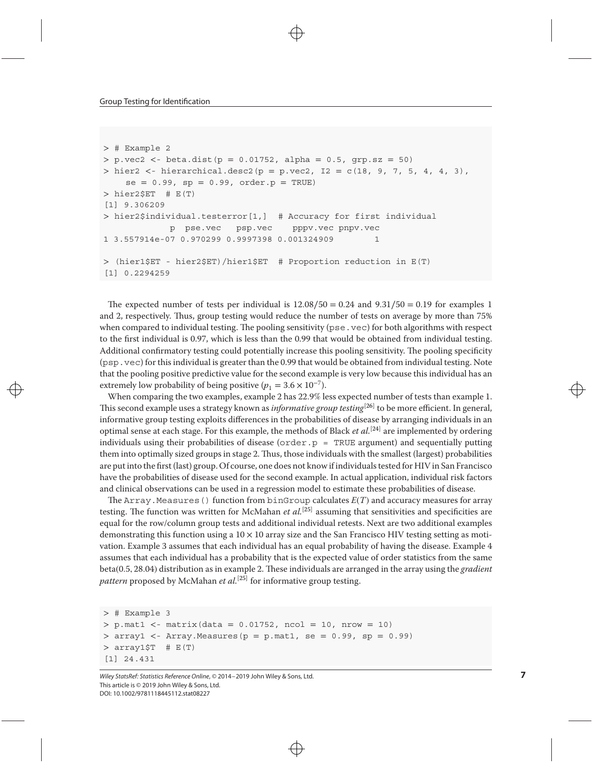```
> # Example 2
> p.vec2 <- beta.dist(p = 0.01752, alpha = 0.5, grp.sz = 50)
> hier2 <- hierarchical.desc2(p = p.vec2, I2 = c(18, 9, 7, 5, 4, 4, 3),
    se = 0.99, sp = 0.99, order.p = TRUE)
> hier2$ET # E(T)
[1] 9.306209
> hier2$individual.testerror[1,] # Accuracy for first individual
            p pse.vec psp.vec pppv.vec pnpv.vec
1 3.557914e-07 0.970299 0.9997398 0.001324909 1
> (hier1$ET - hier2$ET)/hier1$ET # Proportion reduction in E(T)
[1] 0.2294259
```
The expected number of tests per individual is 12*.*08∕50 = 0*.*24 and 9*.*31∕50 = 0*.*19 for examples 1 and 2, respectively. Thus, group testing would reduce the number of tests on average by more than 75% when compared to individual testing. The pooling sensitivity (pse.vec) for both algorithms with respect to the first individual is 0.97, which is less than the 0.99 that would be obtained from individual testing. Additional confirmatory testing could potentially increase this pooling sensitivity. The pooling specificity (psp.vec) for this individual is greater than the 0.99 that would be obtained from individual testing. Note that the pooling positive predictive value for the second example is very low because this individual has an extremely low probability of being positive ( $p_1 = 3.6 \times 10^{-7}$ ).

When comparing the two examples, example 2 has 22*.*9% less expected number of tests than example 1. This second example uses a strategy known as *informative group testing*[\[26\]](#page-9-0) to be more efficient. In general, informative group testing exploits differences in the probabilities of disease by arranging individuals in an optimal sense at each stage. For this example, the methods of Black *et al.*<sup>[\[24\]](#page-9-0)</sup> are implemented by ordering individuals using their probabilities of disease (order.p = TRUE argument) and sequentially putting them into optimally sized groups in stage 2. Thus, those individuals with the smallest (largest) probabilities are put into the first (last) group. Of course, one does not know if individuals tested for HIV in San Francisco have the probabilities of disease used for the second example. In actual application, individual risk factors and clinical observations can be used in a regression model to estimate these probabilities of disease.

The Array. Measures () function from binGroup calculates  $E(T)$  and accuracy measures for array testing. The function was written for McMahan *et al.*[\[25\]](#page-9-0) assuming that sensitivities and specificities are equal for the row/column group tests and additional individual retests. Next are two additional examples demonstrating this function using a  $10 \times 10$  array size and the San Francisco HIV testing setting as motivation. Example 3 assumes that each individual has an equal probability of having the disease. Example 4 assumes that each individual has a probability that is the expected value of order statistics from the same beta(0*.*5*,* 28*.*04) distribution as in example 2. These individuals are arranged in the array using the *gradient pattern* proposed by McMahan *et al.*<sup>[\[25\]](#page-9-0)</sup> for informative group testing.

```
> # Example 3
> p.mat1 <- matrix(data = 0.01752, ncol = 10, nrow = 10)
> array1 <- Array.Measures(p = p.mat1, se = 0.99, sp = 0.99)
> array1$T # E(T)
[1] 24.431
```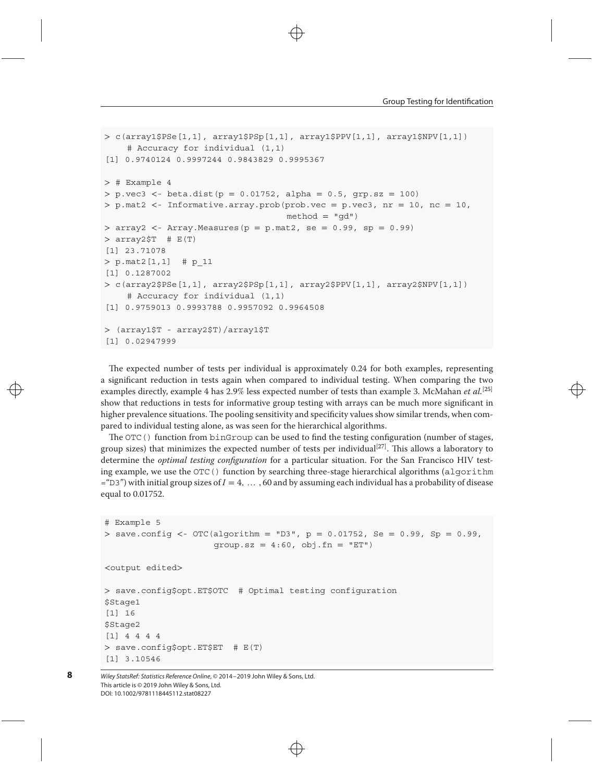```
> c(array1$PSe[1,1], array1$PSp[1,1], array1$PPV[1,1], array1$NPV[1,1])
    # Accuracy for individual (1,1)
[1] 0.9740124 0.9997244 0.9843829 0.9995367
> # Example 4
> p.vec3 <- beta.dist(p = 0.01752, alpha = 0.5, grp.sz = 100)
> p.mat2 <- Informative.array.prob(prob.vec = p.vec3, nr = 10, nc = 10,
                                   method = "qd")> array2 <- Array.Measures(p = p.mat2, se = 0.99, sp = 0.99)
> array2$T # E(T)
[1] 23.71078
> p.mat2[1,1] # p_11
[1] 0.1287002
> c(array2$PSe[1,1], array2$PSp[1,1], array2$PPV[1,1], array2$NPV[1,1])
    # Accuracy for individual (1,1)
[1] 0.9759013 0.9993788 0.9957092 0.9964508
> (array1$T - array2$T)/array1$T
[1] 0.02947999
```
The expected number of tests per individual is approximately 0.24 for both examples, representing a significant reduction in tests again when compared to individual testing. When comparing the two examples directly, example 4 has 2*.*9% less expected number of tests than example 3. McMahan *et al.*[\[25\]](#page-9-0) show that reductions in tests for informative group testing with arrays can be much more significant in higher prevalence situations. The pooling sensitivity and specificity values show similar trends, when compared to individual testing alone, as was seen for the hierarchical algorithms.

The OTC() function from binGroup can be used to find the testing configuration (number of stages, group sizes) that minimizes the expected number of tests per individual $^{[27]}$  $^{[27]}$  $^{[27]}$ . This allows a laboratory to determine the *optimal testing configuration* for a particular situation. For the San Francisco HIV testing example, we use the OTC() function by searching three-stage hierarchical algorithms (algorithm ="D3") with initial group sizes of *I* = 4*,* … *,* 60 and by assuming each individual has a probability of disease equal to 0.01752.

```
# Example 5
> save.config <- OTC(algorithm = "D3", p = 0.01752, Se = 0.99, Sp = 0.99,
                     qroup.sz = 4:60, obj.fn = "ET")<output edited>
> save.config$opt.ET$OTC # Optimal testing configuration
$Stage1
[1] 16
$Stage2
```

```
[1] 4 4 4 4
> save.config$opt.ET$ET # E(T)
[1] 3.10546
```
Wiley StatsRef: Statistics Reference Online, © 2014–2019 John Wiley & Sons, Ltd. This article is © 2019 John Wiley & Sons, Ltd. DOI: 10.1002/9781118445112.stat08227

**8**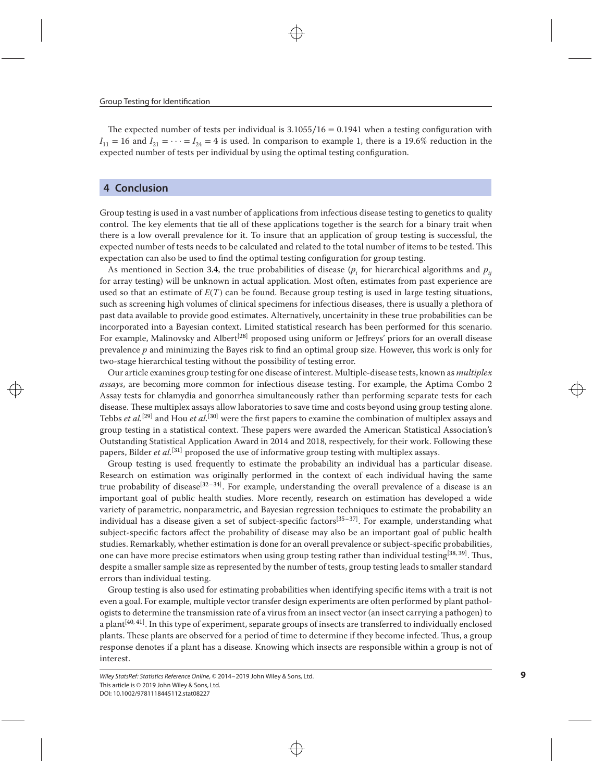The expected number of tests per individual is 3*.*1055∕16 = 0*.*1941 when a testing configuration with  $I_{11} = 16$  and  $I_{21} = \cdots = I_{24} = 4$  is used. In comparison to example 1, there is a 19.6% reduction in the expected number of tests per individual by using the optimal testing configuration.

# <span id="page-8-0"></span>**4 Conclusion**

Group testing is used in a vast number of applications from infectious disease testing to genetics to quality control. The key elements that tie all of these applications together is the search for a binary trait when there is a low overall prevalence for it. To insure that an application of group testing is successful, the expected number of tests needs to be calculated and related to the total number of items to be tested. This expectation can also be used to find the optimal testing configuration for group testing.

As mentioned in Section [3.4,](#page-5-0) the true probabilities of disease ( $p_i$  for hierarchical algorithms and  $p_{ii}$ ) for array testing) will be unknown in actual application. Most often, estimates from past experience are used so that an estimate of  $E(T)$  can be found. Because group testing is used in large testing situations, such as screening high volumes of clinical specimens for infectious diseases, there is usually a plethora of past data available to provide good estimates. Alternatively, uncertainity in these true probabilities can be incorporated into a Bayesian context. Limited statistical research has been performed for this scenario. For example, Malinovsky and Albert<sup>[\[28\]](#page-9-0)</sup> proposed using uniform or Jeffreys' priors for an overall disease prevalence *p* and minimizing the Bayes risk to find an optimal group size. However, this work is only for two-stage hierarchical testing without the possibility of testing error.

Our article examines group testing for one disease of interest. Multiple-disease tests, known as *multiplex assays*, are becoming more common for infectious disease testing. For example, the Aptima Combo 2 Assay tests for chlamydia and gonorrhea simultaneously rather than performing separate tests for each disease. These multiplex assays allow laboratories to save time and costs beyond using group testing alone. Tebbs *et al.*[\[29\]](#page-9-0) and Hou *et al.*[\[30\]](#page-9-0) were the first papers to examine the combination of multiplex assays and group testing in a statistical context. These papers were awarded the American Statistical Association's Outstanding Statistical Application Award in 2014 and 2018, respectively, for their work. Following these papers, Bilder *et al.*[\[31\]](#page-9-0) proposed the use of informative group testing with multiplex assays.

Group testing is used frequently to estimate the probability an individual has a particular disease. Research on estimation was originally performed in the context of each individual having the same true probability of disease<sup>[\[32–34\]](#page-9-0)</sup>. For example, understanding the overall prevalence of a disease is an important goal of public health studies. More recently, research on estimation has developed a wide variety of parametric, nonparametric, and Bayesian regression techniques to estimate the probability an individual has a disease given a set of subject-specific factors<sup>[\[35–37\]](#page-9-0)</sup>. For example, understanding what subject-specific factors affect the probability of disease may also be an important goal of public health studies. Remarkably, whether estimation is done for an overall prevalence or subject-specific probabilities, one can have more precise estimators when using group testing rather than individual testing<sup>[\[38,](#page-9-0) [39\]](#page-9-0)</sup>. Thus, despite a smaller sample size as represented by the number of tests, group testing leads to smaller standard errors than individual testing.

Group testing is also used for estimating probabilities when identifying specific items with a trait is not even a goal. For example, multiple vector transfer design experiments are often performed by plant pathologists to determine the transmission rate of a virus from an insect vector (an insect carrying a pathogen) to a plant<sup>[\[40,](#page-9-0) [41\]](#page-9-0)</sup>. In this type of experiment, separate groups of insects are transferred to individually enclosed plants. These plants are observed for a period of time to determine if they become infected. Thus, a group response denotes if a plant has a disease. Knowing which insects are responsible within a group is not of interest.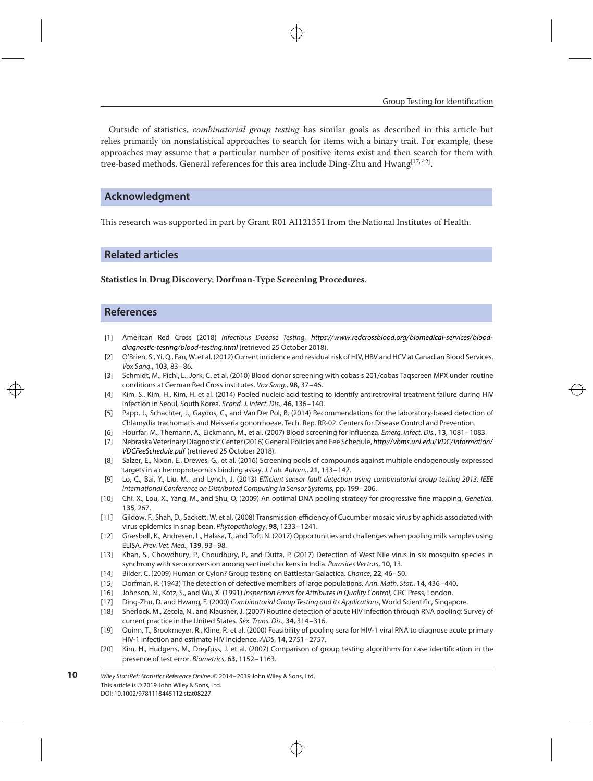Outside of statistics, *combinatorial group testing* has similar goals as described in this article but relies primarily on nonstatistical approaches to search for items with a binary trait. For example, these approaches may assume that a particular number of positive items exist and then search for them with tree-based methods. General references for this area include Ding-Zhu and Hwang $^{\left[ 17,42\right] }.$ 

# **Acknowledgment**

This research was supported in part by Grant R01 AI121351 from the National Institutes of Health.

### **Related articles**

**Statistics in Drug Discovery**; **Dorfman-Type Screening Procedures**.

## **References**

- <span id="page-9-0"></span>[1] American Red Cross (2018) Infectious Disease Testing, [https://www.redcrossblood.org/biomedical-services/blood](https://www.redcrossblood.org/biomedical-services/blood-diagnostic-testing/blood-testing.html)[diagnostic-testing/blood-testing.html](https://www.redcrossblood.org/biomedical-services/blood-diagnostic-testing/blood-testing.html) (retrieved 25 October 2018).
- [2] O'Brien, S., Yi, Q., Fan, W. et al. (2012) Current incidence and residual risk of HIV, HBV and HCV at Canadian Blood Services. Vox Sang., **103**, 83–86.
- [3] Schmidt, M., Pichl, L., Jork, C. et al. (2010) Blood donor screening with cobas s 201/cobas Tagscreen MPX under routine conditions at German Red Cross institutes. Vox Sang., **98**, 37–46.
- [4] Kim, S., Kim, H., Kim, H. et al. (2014) Pooled nucleic acid testing to identify antiretroviral treatment failure during HIV infection in Seoul, South Korea. Scand. J. Infect. Dis., **46**, 136–140.
- [5] Papp, J., Schachter, J., Gaydos, C., and Van Der Pol, B. (2014) Recommendations for the laboratory-based detection of Chlamydia trachomatis and Neisseria gonorrhoeae, Tech. Rep. RR-02. Centers for Disease Control and Prevention.
- [6] Hourfar, M., Themann, A., Eickmann, M., et al. (2007) Blood screening for influenza. Emerg. Infect. Dis., **13**, 1081–1083.
- [7] Nebraska Veterinary Diagnostic Center (2016) General Policies and Fee Schedule, [http://vbms.unl.edu/VDC/Information/](http://vbms.unl.edu/VDC/Information/VDCFeeSchedule.pdf) [VDCFeeSchedule.pdf](http://vbms.unl.edu/VDC/Information/VDCFeeSchedule.pdf) (retrieved 25 October 2018).
- [8] Salzer, E., Nixon, E., Drewes, G., et al. (2016) Screening pools of compounds against multiple endogenously expressed targets in a chemoproteomics binding assay. J. Lab. Autom., **21**, 133–142.
- [9] Lo, C., Bai, Y., Liu, M., and Lynch, J. (2013) Efficient sensor fault detection using combinatorial group testing 2013. IEEE International Conference on Distributed Computing in Sensor Systems, pp. 199–206.
- [10] Chi, X., Lou, X., Yang, M., and Shu, Q. (2009) An optimal DNA pooling strategy for progressive fine mapping. Genetica, **135**, 267.
- [11] Gildow, F., Shah, D., Sackett, W. et al. (2008) Transmission efficiency of Cucumber mosaic virus by aphids associated with virus epidemics in snap bean. Phytopathology, **98**, 1233–1241.
- [12] Græsbøll, K., Andresen, L., Halasa, T., and Toft, N. (2017) Opportunities and challenges when pooling milk samples using ELISA. Prev. Vet. Med., **139**, 93–98.
- [13] Khan, S., Chowdhury, P., Choudhury, P., and Dutta, P. (2017) Detection of West Nile virus in six mosquito species in synchrony with seroconversion among sentinel chickens in India. Parasites Vectors, **10**, 13.
- [14] Bilder, C. (2009) Human or Cylon? Group testing on Battlestar Galactica. Chance, **22**, 46–50.
- [15] Dorfman, R. (1943) The detection of defective members of large populations. Ann. Math. Stat., **14**, 436–440.
- [16] Johnson, N., Kotz, S., and Wu, X. (1991) Inspection Errors for Attributes in Quality Control, CRC Press, London.
- [17] Ding-Zhu, D. and Hwang, F. (2000) Combinatorial Group Testing and its Applications, World Scientific, Singapore.
- [18] Sherlock, M., Zetola, N., and Klausner, J. (2007) Routine detection of acute HIV infection through RNA pooling: Survey of current practice in the United States. Sex. Trans. Dis., **34**, 314–316.
- [19] Quinn, T., Brookmeyer, R., Kline, R. et al. (2000) Feasibility of pooling sera for HIV-1 viral RNA to diagnose acute primary HIV-1 infection and estimate HIV incidence. AIDS, **14**, 2751–2757.
- [20] Kim, H., Hudgens, M., Dreyfuss, J. et al. (2007) Comparison of group testing algorithms for case identification in the presence of test error. Biometrics, **63**, 1152–1163.

Wiley StatsRef: Statistics Reference Online, © 2014–2019 John Wiley & Sons, Ltd. This article is © 2019 John Wiley & Sons, Ltd. DOI: 10.1002/9781118445112.stat08227 **10**